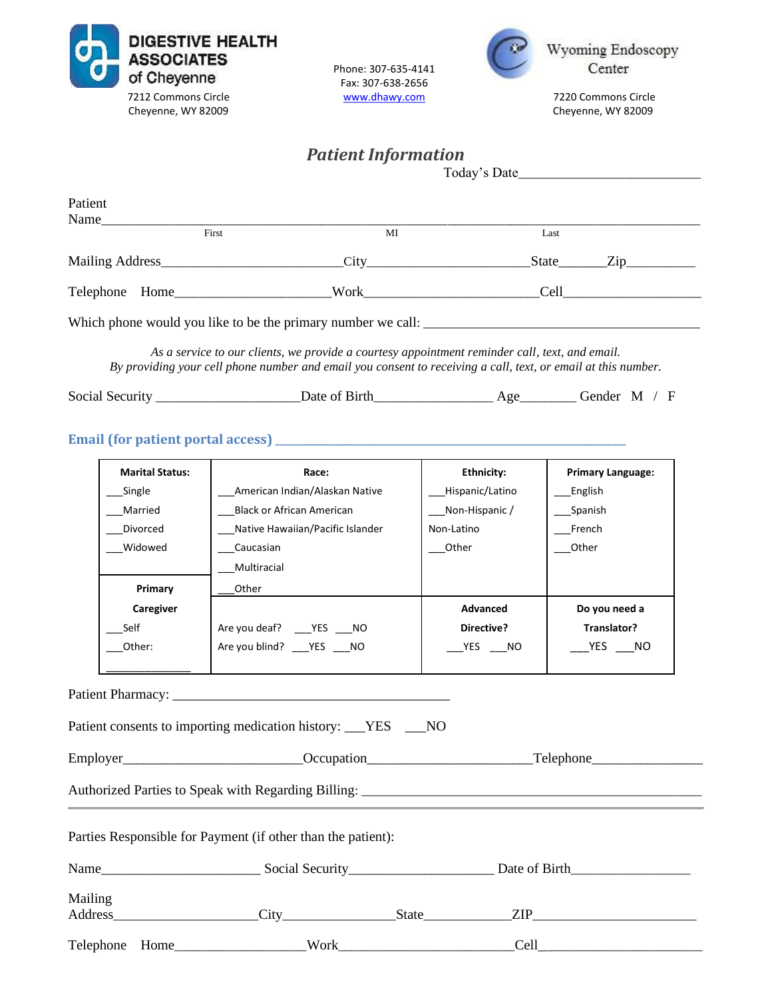| <b>ASSOCIATES</b><br>of Cheyenne<br>7212 Commons Circle<br>Cheyenne, WY 82009 | <b>DIGESTIVE HEALTH</b><br>Phone: 307-635-4141<br>Fax: 307-638-2656<br>www.dhawy.com                                                                                                                                                                                                                                   |                                       | Wyoming Endoscopy<br>Center<br>7220 Commons Circle<br>Cheyenne, WY 82009                                                                                                                                                       |  |
|-------------------------------------------------------------------------------|------------------------------------------------------------------------------------------------------------------------------------------------------------------------------------------------------------------------------------------------------------------------------------------------------------------------|---------------------------------------|--------------------------------------------------------------------------------------------------------------------------------------------------------------------------------------------------------------------------------|--|
|                                                                               | <b>Patient Information</b>                                                                                                                                                                                                                                                                                             |                                       | Today's Date                                                                                                                                                                                                                   |  |
| Patient                                                                       |                                                                                                                                                                                                                                                                                                                        |                                       |                                                                                                                                                                                                                                |  |
|                                                                               | MI                                                                                                                                                                                                                                                                                                                     |                                       | Last                                                                                                                                                                                                                           |  |
|                                                                               |                                                                                                                                                                                                                                                                                                                        |                                       |                                                                                                                                                                                                                                |  |
|                                                                               |                                                                                                                                                                                                                                                                                                                        |                                       |                                                                                                                                                                                                                                |  |
|                                                                               |                                                                                                                                                                                                                                                                                                                        |                                       |                                                                                                                                                                                                                                |  |
|                                                                               | As a service to our clients, we provide a courtesy appointment reminder call, text, and email.<br>By providing your cell phone number and email you consent to receiving a call, text, or email at this number.<br>Social Security ________________________Date of Birth__________________________________Gender M / F |                                       |                                                                                                                                                                                                                                |  |
|                                                                               |                                                                                                                                                                                                                                                                                                                        |                                       |                                                                                                                                                                                                                                |  |
| <b>Marital Status:</b><br>Single                                              | Race:<br>American Indian/Alaskan Native                                                                                                                                                                                                                                                                                | <b>Ethnicity:</b><br>_Hispanic/Latino | <b>Primary Language:</b><br>English                                                                                                                                                                                            |  |
| Married                                                                       | <b>Black or African American</b>                                                                                                                                                                                                                                                                                       | Non-Hispanic /                        | _Spanish                                                                                                                                                                                                                       |  |
| Divorced                                                                      | Native Hawaiian/Pacific Islander                                                                                                                                                                                                                                                                                       | Non-Latino                            | French                                                                                                                                                                                                                         |  |
| Widowed                                                                       | Caucasian                                                                                                                                                                                                                                                                                                              | Other                                 | Other                                                                                                                                                                                                                          |  |
| Primary                                                                       | Multiracial<br>Other                                                                                                                                                                                                                                                                                                   |                                       |                                                                                                                                                                                                                                |  |
| Caregiver                                                                     |                                                                                                                                                                                                                                                                                                                        | Advanced                              | Do you need a                                                                                                                                                                                                                  |  |
| Self                                                                          | Are you deaf? _____ YES ____ NO                                                                                                                                                                                                                                                                                        | Directive?                            | Translator?                                                                                                                                                                                                                    |  |
| Other:                                                                        | Are you blind? ___ YES ___ NO                                                                                                                                                                                                                                                                                          | YES NO                                | YES<br>NO.                                                                                                                                                                                                                     |  |
|                                                                               |                                                                                                                                                                                                                                                                                                                        |                                       |                                                                                                                                                                                                                                |  |
|                                                                               | Patient consents to importing medication history: ___YES ___NO                                                                                                                                                                                                                                                         |                                       |                                                                                                                                                                                                                                |  |
|                                                                               |                                                                                                                                                                                                                                                                                                                        |                                       |                                                                                                                                                                                                                                |  |
|                                                                               |                                                                                                                                                                                                                                                                                                                        |                                       |                                                                                                                                                                                                                                |  |
|                                                                               | Parties Responsible for Payment (if other than the patient):                                                                                                                                                                                                                                                           |                                       |                                                                                                                                                                                                                                |  |
|                                                                               |                                                                                                                                                                                                                                                                                                                        |                                       |                                                                                                                                                                                                                                |  |
| Mailing                                                                       |                                                                                                                                                                                                                                                                                                                        |                                       |                                                                                                                                                                                                                                |  |
|                                                                               |                                                                                                                                                                                                                                                                                                                        |                                       | Cell expression and the contract of the contract of the contract of the contract of the contract of the contract of the contract of the contract of the contract of the contract of the contract of the contract of the contra |  |
|                                                                               |                                                                                                                                                                                                                                                                                                                        |                                       |                                                                                                                                                                                                                                |  |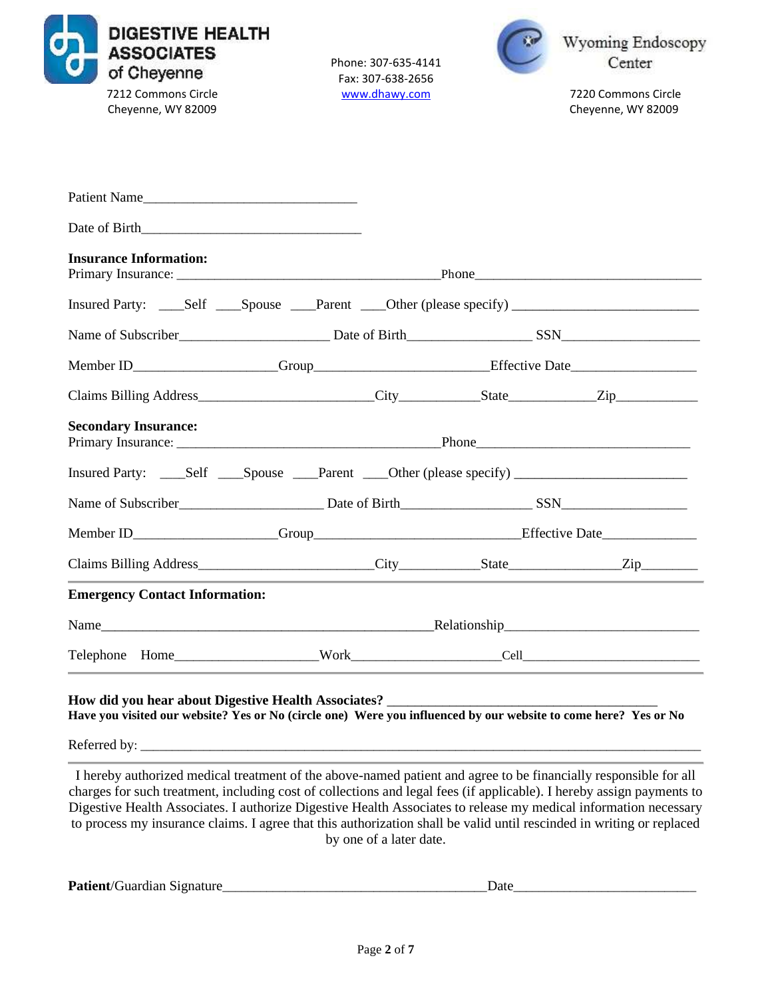

Phone: 307-635-4141 Fax: 307-638-2656



7212 Commons Circle [www.dhawy.com](http://www.dhawy.com/) 7220 Commons Circle

| Patient Name                                                                                                                                                                                                                                                                                     |  |  |  |                                                                                                                                                                                                                                                                                                                                                     |  |
|--------------------------------------------------------------------------------------------------------------------------------------------------------------------------------------------------------------------------------------------------------------------------------------------------|--|--|--|-----------------------------------------------------------------------------------------------------------------------------------------------------------------------------------------------------------------------------------------------------------------------------------------------------------------------------------------------------|--|
|                                                                                                                                                                                                                                                                                                  |  |  |  |                                                                                                                                                                                                                                                                                                                                                     |  |
| <b>Insurance Information:</b>                                                                                                                                                                                                                                                                    |  |  |  |                                                                                                                                                                                                                                                                                                                                                     |  |
|                                                                                                                                                                                                                                                                                                  |  |  |  |                                                                                                                                                                                                                                                                                                                                                     |  |
|                                                                                                                                                                                                                                                                                                  |  |  |  |                                                                                                                                                                                                                                                                                                                                                     |  |
|                                                                                                                                                                                                                                                                                                  |  |  |  |                                                                                                                                                                                                                                                                                                                                                     |  |
|                                                                                                                                                                                                                                                                                                  |  |  |  |                                                                                                                                                                                                                                                                                                                                                     |  |
| <b>Secondary Insurance:</b>                                                                                                                                                                                                                                                                      |  |  |  |                                                                                                                                                                                                                                                                                                                                                     |  |
| Insured Party: _____Self _____Spouse _____Parent _____Other (please specify) _______________________                                                                                                                                                                                             |  |  |  |                                                                                                                                                                                                                                                                                                                                                     |  |
|                                                                                                                                                                                                                                                                                                  |  |  |  |                                                                                                                                                                                                                                                                                                                                                     |  |
|                                                                                                                                                                                                                                                                                                  |  |  |  |                                                                                                                                                                                                                                                                                                                                                     |  |
|                                                                                                                                                                                                                                                                                                  |  |  |  |                                                                                                                                                                                                                                                                                                                                                     |  |
| <b>Emergency Contact Information:</b>                                                                                                                                                                                                                                                            |  |  |  |                                                                                                                                                                                                                                                                                                                                                     |  |
|                                                                                                                                                                                                                                                                                                  |  |  |  |                                                                                                                                                                                                                                                                                                                                                     |  |
|                                                                                                                                                                                                                                                                                                  |  |  |  |                                                                                                                                                                                                                                                                                                                                                     |  |
| Have you visited our website? Yes or No (circle one) Were you influenced by our website to come here? Yes or No                                                                                                                                                                                  |  |  |  |                                                                                                                                                                                                                                                                                                                                                     |  |
|                                                                                                                                                                                                                                                                                                  |  |  |  |                                                                                                                                                                                                                                                                                                                                                     |  |
| $\mathbf{v}$ and $\mathbf{v}$ and $\mathbf{v}$ and $\mathbf{v}$ and $\mathbf{v}$ and $\mathbf{v}$ and $\mathbf{v}$ and $\mathbf{v}$ and $\mathbf{v}$ and $\mathbf{v}$ and $\mathbf{v}$ and $\mathbf{v}$ and $\mathbf{v}$ and $\mathbf{v}$ and $\mathbf{v}$ and $\mathbf{v}$ and $\mathbf{v}$ and |  |  |  | $\overline{1}$ , $\overline{1}$ , $\overline{1}$ , $\overline{1}$ , $\overline{1}$ , $\overline{1}$ , $\overline{1}$ , $\overline{1}$ , $\overline{1}$ , $\overline{1}$ , $\overline{1}$ , $\overline{1}$ , $\overline{1}$ , $\overline{1}$ , $\overline{1}$ , $\overline{1}$ , $\overline{1}$ , $\overline{1}$ , $\overline{1}$ , $\overline{1}$ , |  |

I hereby authorized medical treatment of the above-named patient and agree to be financially responsible for all charges for such treatment, including cost of collections and legal fees (if applicable). I hereby assign payments to Digestive Health Associates. I authorize Digestive Health Associates to release my medical information necessary to process my insurance claims. I agree that this authorization shall be valid until rescinded in writing or replaced by one of a later date.

| Pati<br>. 19 nature<br>.<br><b>TUATCUAN</b><br>.<br>$\sim$ |
|------------------------------------------------------------|
|------------------------------------------------------------|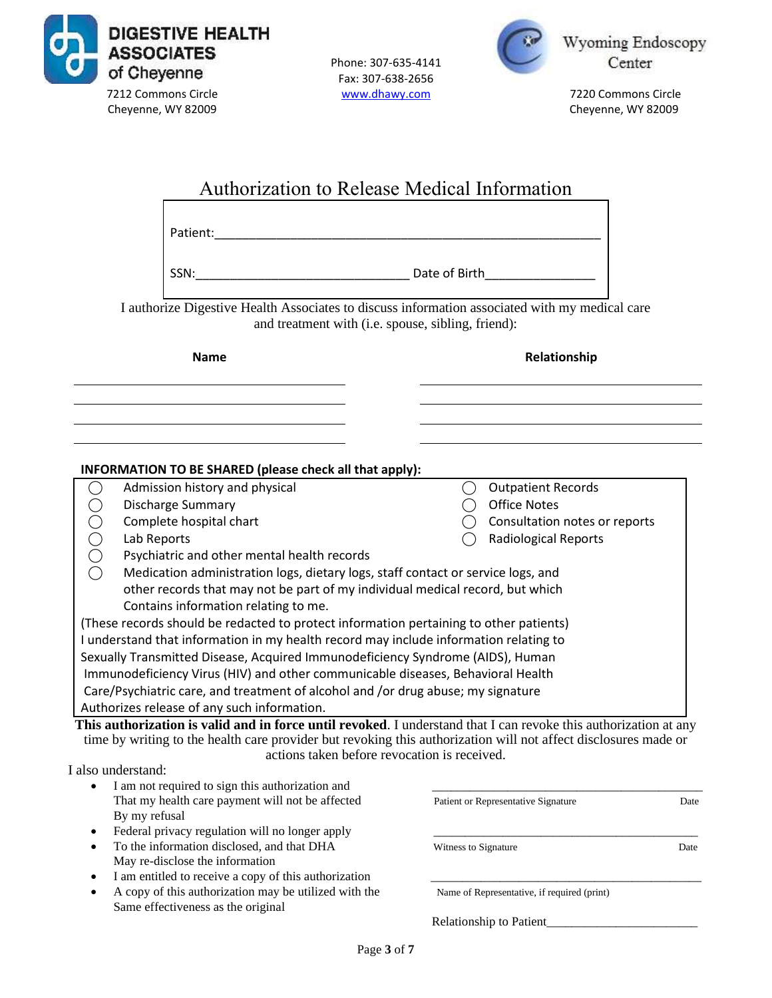

Phone: 307-635-4141 Fax: 307-638-2656



Wyoming Endoscopy Center

| <b>Authorization to Release Medical Information</b>                                                                                                                                                                                                                                 |                                             |      |  |  |
|-------------------------------------------------------------------------------------------------------------------------------------------------------------------------------------------------------------------------------------------------------------------------------------|---------------------------------------------|------|--|--|
| Patient: National Accounts and Accounts and Accounts and Accounts and Accounts and Accounts and Accounts and Accounts and Accounts and Accounts and Accounts and Accounts and Accounts and Accounts and Accounts and Accounts                                                       |                                             |      |  |  |
|                                                                                                                                                                                                                                                                                     |                                             |      |  |  |
| I authorize Digestive Health Associates to discuss information associated with my medical care<br>and treatment with (i.e. spouse, sibling, friend):                                                                                                                                |                                             |      |  |  |
| <b>Name</b>                                                                                                                                                                                                                                                                         | Relationship                                |      |  |  |
|                                                                                                                                                                                                                                                                                     |                                             |      |  |  |
| INFORMATION TO BE SHARED (please check all that apply):<br>Admission history and physical                                                                                                                                                                                           | <b>Outpatient Records</b><br>◯              |      |  |  |
| <b>Discharge Summary</b>                                                                                                                                                                                                                                                            | <b>Office Notes</b><br>$\big)$              |      |  |  |
| OOOO<br>Complete hospital chart                                                                                                                                                                                                                                                     | Consultation notes or reports               |      |  |  |
| Lab Reports                                                                                                                                                                                                                                                                         | Radiological Reports                        |      |  |  |
| Psychiatric and other mental health records                                                                                                                                                                                                                                         |                                             |      |  |  |
| Medication administration logs, dietary logs, staff contact or service logs, and                                                                                                                                                                                                    |                                             |      |  |  |
| other records that may not be part of my individual medical record, but which                                                                                                                                                                                                       |                                             |      |  |  |
| Contains information relating to me.                                                                                                                                                                                                                                                |                                             |      |  |  |
| (These records should be redacted to protect information pertaining to other patients)                                                                                                                                                                                              |                                             |      |  |  |
| I understand that information in my health record may include information relating to                                                                                                                                                                                               |                                             |      |  |  |
| Sexually Transmitted Disease, Acquired Immunodeficiency Syndrome (AIDS), Human                                                                                                                                                                                                      |                                             |      |  |  |
| Immunodeficiency Virus (HIV) and other communicable diseases, Behavioral Health                                                                                                                                                                                                     |                                             |      |  |  |
| Care/Psychiatric care, and treatment of alcohol and /or drug abuse; my signature                                                                                                                                                                                                    |                                             |      |  |  |
| Authorizes release of any such information.                                                                                                                                                                                                                                         |                                             |      |  |  |
| This authorization is valid and in force until revoked. I understand that I can revoke this authorization at any<br>time by writing to the health care provider but revoking this authorization will not affect disclosures made or<br>actions taken before revocation is received. |                                             |      |  |  |
| I also understand:                                                                                                                                                                                                                                                                  |                                             |      |  |  |
| I am not required to sign this authorization and<br>That my health care payment will not be affected                                                                                                                                                                                |                                             |      |  |  |
| By my refusal                                                                                                                                                                                                                                                                       | Patient or Representative Signature         | Date |  |  |
| Federal privacy regulation will no longer apply<br>٠                                                                                                                                                                                                                                |                                             |      |  |  |
| To the information disclosed, and that DHA<br>$\bullet$                                                                                                                                                                                                                             | Witness to Signature                        | Date |  |  |
| May re-disclose the information                                                                                                                                                                                                                                                     |                                             |      |  |  |
| I am entitled to receive a copy of this authorization<br>٠                                                                                                                                                                                                                          |                                             |      |  |  |
| A copy of this authorization may be utilized with the<br>$\bullet$<br>Same effectiveness as the original                                                                                                                                                                            | Name of Representative, if required (print) |      |  |  |
|                                                                                                                                                                                                                                                                                     | Relationship to Patient                     |      |  |  |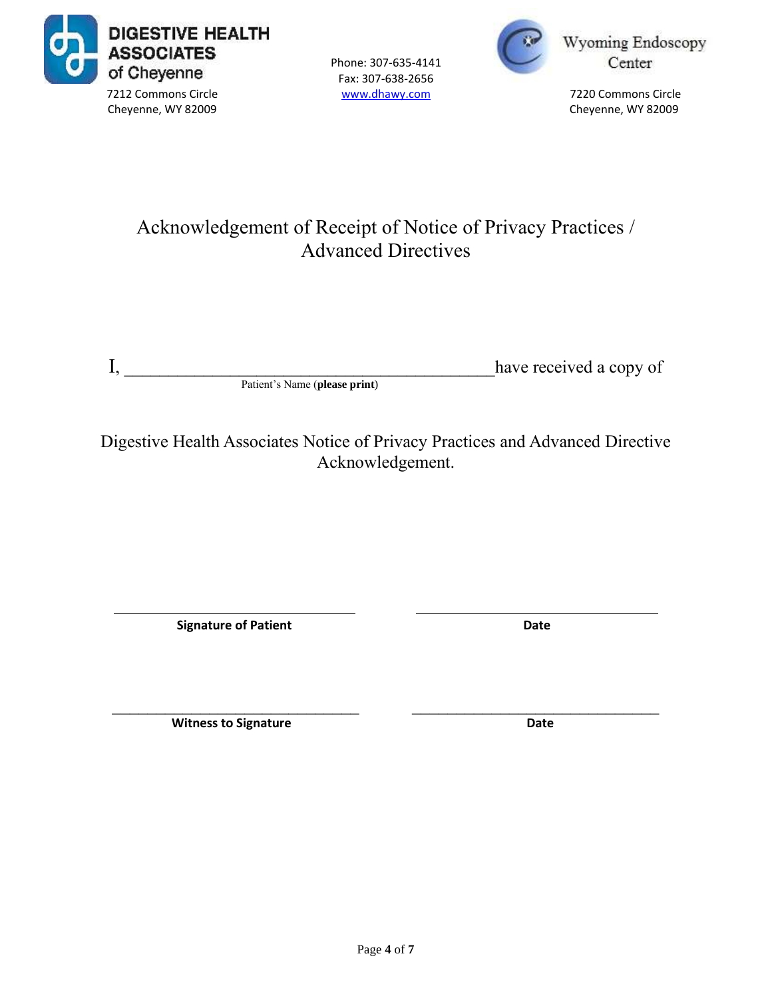

Phone: 307-635-4141 Fax: 307-638-2656



Wyoming Endoscopy Center

# Acknowledgement of Receipt of Notice of Privacy Practices / Advanced Directives

I, \_\_\_\_\_\_\_\_\_\_\_\_\_\_\_\_\_\_\_\_\_\_\_\_\_\_\_\_\_\_\_\_\_\_\_\_\_\_\_\_\_\_have received a copy of

Patient's Name (**please print**)

Digestive Health Associates Notice of Privacy Practices and Advanced Directive Acknowledgement.

**Signature of Patient Date** 

**Witness to Signature Date** 

 $\mathcal{L}_\text{max} = \frac{1}{2} \sum_{i=1}^{n} \frac{1}{2} \sum_{i=1}^{n} \frac{1}{2} \sum_{i=1}^{n} \frac{1}{2} \sum_{i=1}^{n} \frac{1}{2} \sum_{i=1}^{n} \frac{1}{2} \sum_{i=1}^{n} \frac{1}{2} \sum_{i=1}^{n} \frac{1}{2} \sum_{i=1}^{n} \frac{1}{2} \sum_{i=1}^{n} \frac{1}{2} \sum_{i=1}^{n} \frac{1}{2} \sum_{i=1}^{n} \frac{1}{2} \sum_{i=1}^{n} \frac{1$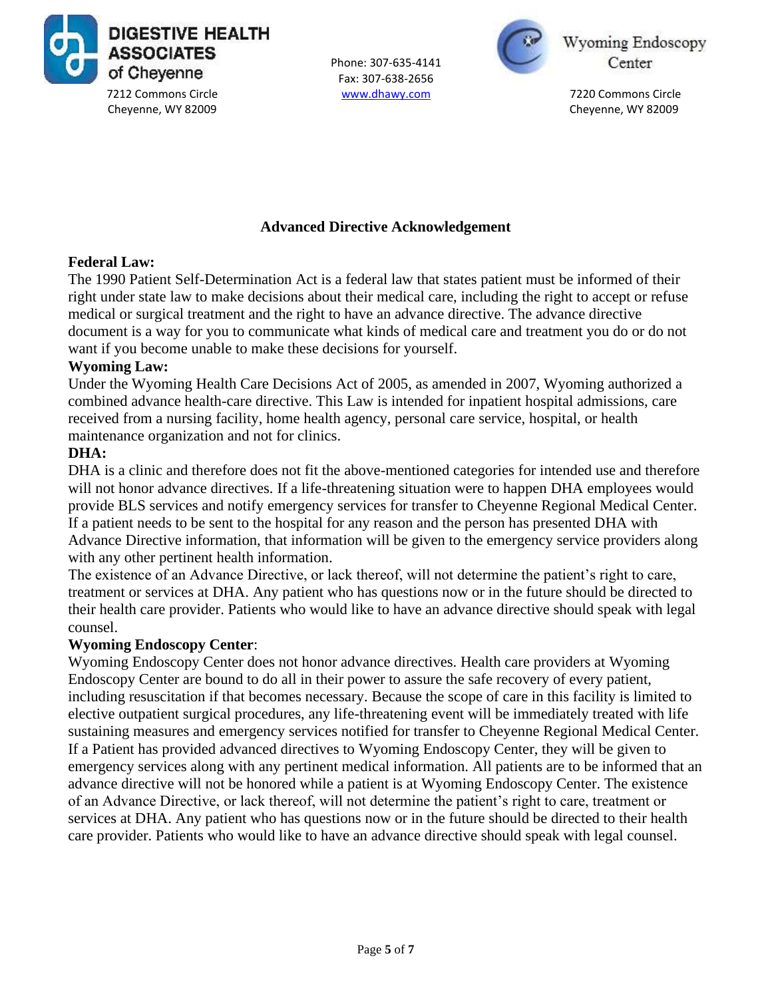

Phone: 307-635-4141 Fax: 307-638-2656



Wyoming Endoscopy Center

### **Advanced Directive Acknowledgement**

### **Federal Law:**

The 1990 Patient Self-Determination Act is a federal law that states patient must be informed of their right under state law to make decisions about their medical care, including the right to accept or refuse medical or surgical treatment and the right to have an advance directive. The advance directive document is a way for you to communicate what kinds of medical care and treatment you do or do not want if you become unable to make these decisions for yourself.

### **Wyoming Law:**

Under the Wyoming Health Care Decisions Act of 2005, as amended in 2007, Wyoming authorized a combined advance health-care directive. This Law is intended for inpatient hospital admissions, care received from a nursing facility, home health agency, personal care service, hospital, or health maintenance organization and not for clinics.

### **DHA:**

DHA is a clinic and therefore does not fit the above-mentioned categories for intended use and therefore will not honor advance directives. If a life-threatening situation were to happen DHA employees would provide BLS services and notify emergency services for transfer to Cheyenne Regional Medical Center. If a patient needs to be sent to the hospital for any reason and the person has presented DHA with Advance Directive information, that information will be given to the emergency service providers along with any other pertinent health information.

The existence of an Advance Directive, or lack thereof, will not determine the patient's right to care, treatment or services at DHA. Any patient who has questions now or in the future should be directed to their health care provider. Patients who would like to have an advance directive should speak with legal counsel.

#### **Wyoming Endoscopy Center**:

Wyoming Endoscopy Center does not honor advance directives. Health care providers at Wyoming Endoscopy Center are bound to do all in their power to assure the safe recovery of every patient, including resuscitation if that becomes necessary. Because the scope of care in this facility is limited to elective outpatient surgical procedures, any life-threatening event will be immediately treated with life sustaining measures and emergency services notified for transfer to Cheyenne Regional Medical Center. If a Patient has provided advanced directives to Wyoming Endoscopy Center, they will be given to emergency services along with any pertinent medical information. All patients are to be informed that an advance directive will not be honored while a patient is at Wyoming Endoscopy Center. The existence of an Advance Directive, or lack thereof, will not determine the patient's right to care, treatment or services at DHA. Any patient who has questions now or in the future should be directed to their health care provider. Patients who would like to have an advance directive should speak with legal counsel.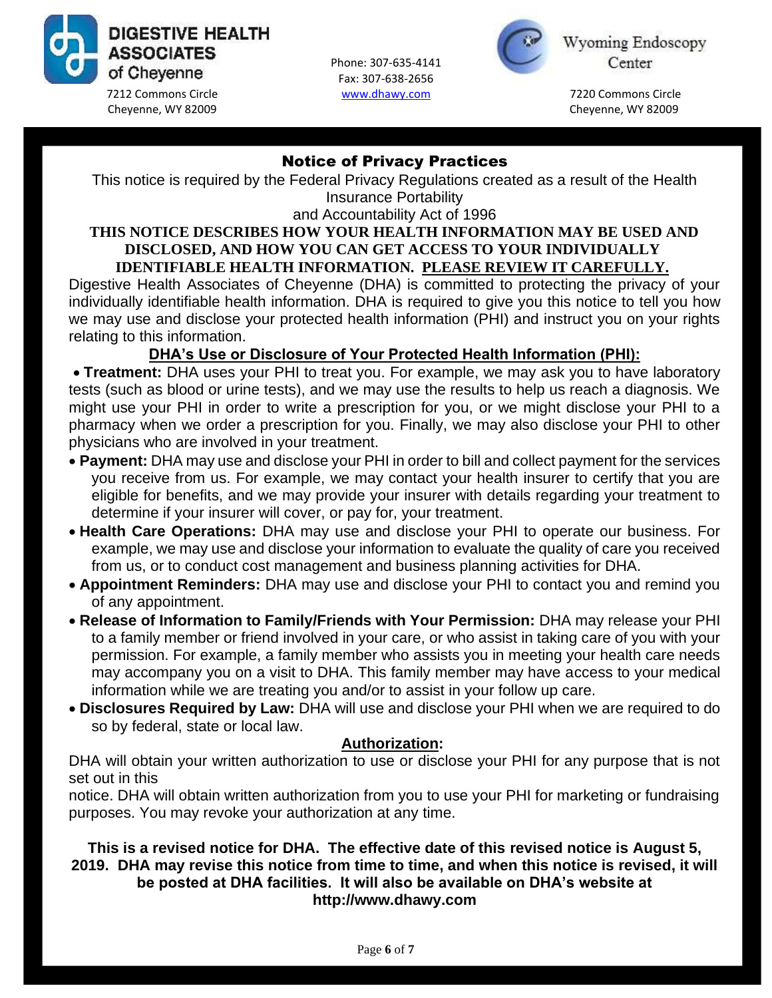

Phone: 307-635-4141 Fax: 307-638-2656



Wyoming Endoscopy Center

# Notice of Privacy Practices

This notice is required by the Federal Privacy Regulations created as a result of the Health Insurance Portability

and Accountability Act of 1996

### **THIS NOTICE DESCRIBES HOW YOUR HEALTH INFORMATION MAY BE USED AND DISCLOSED, AND HOW YOU CAN GET ACCESS TO YOUR INDIVIDUALLY IDENTIFIABLE HEALTH INFORMATION. PLEASE REVIEW IT CAREFULLY.**

Digestive Health Associates of Cheyenne (DHA) is committed to protecting the privacy of your [individually identifiable health information. DHA is required to give you this notice to tell you how](file:///C:/Users/skinohi/Documents/Samantha)  we may use and disclose your protected health information (PHI) and instruct you on your rights relating to this information.

# **DHA's Use or Disclosure of Your Protected Health Information (PHI):**

• **Treatment:** DHA uses your PHI to treat you. For example, we may ask you to have laboratory tests (such as blood or urine tests), and we may use the results to help us reach a diagnosis. We might use your PHI in order to write a prescription for you, or we might disclose your PHI to a pharmacy when we order a prescription for you. Finally, we may also disclose your PHI to other physicians who are involved in your treatment.

- **Payment:** DHA may use and disclose your PHI in order to bill and collect payment for the services you receive from us. For example, we may contact your health insurer to certify that you are eligible for benefits, and we may provide your insurer with details regarding your treatment to determine if your insurer will cover, or pay for, your treatment.
- **Health Care Operations:** DHA may use and disclose your PHI to operate our business. For example, we may use and disclose your information to evaluate the quality of care you received from us, or to conduct cost management and business planning activities for DHA.
- **Appointment Reminders:** DHA may use and disclose your PHI to contact you and remind you of any appointment.
- **Release of Information to Family/Friends with Your Permission:** DHA may release your PHI to a family member or friend involved in your care, or who assist in taking care of you with your permission. For example, a family member who assists you in meeting your health care needs may accompany you on a visit to DHA. This family member may have access to your medical information while we are treating you and/or to assist in your follow up care.
- **Disclosures Required by Law:** DHA will use and disclose your PHI when we are required to do so by federal, state or local law.

## **Authorization:**

DHA will obtain your written authorization to use or disclose your PHI for any purpose that is not set out in this

notice. DHA will obtain written authorization from you to use your PHI for marketing or fundraising purposes. You may revoke your authorization at any time.

### **This is a revised notice for DHA. The effective date of this revised notice is August 5, 2019. DHA may revise this notice from time to time, and when this notice is revised, it will be posted at DHA facilities. It will also be available on DHA's website at http://www.dhawy.com**